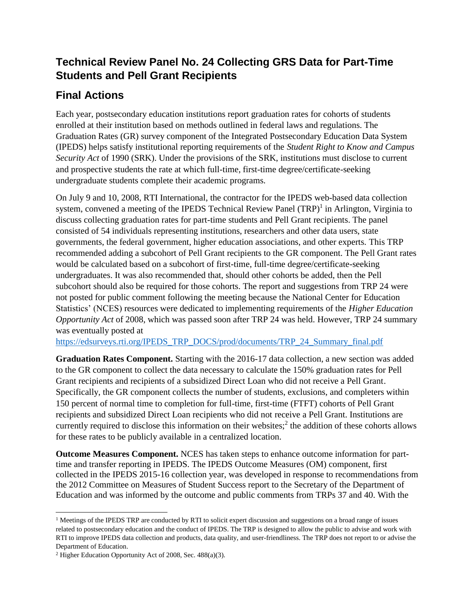## **Technical Review Panel No. 24 Collecting GRS Data for Part-Time Students and Pell Grant Recipients**

## **Final Actions**

Each year, postsecondary education institutions report graduation rates for cohorts of students enrolled at their institution based on methods outlined in federal laws and regulations. The Graduation Rates (GR) survey component of the Integrated Postsecondary Education Data System (IPEDS) helps satisfy institutional reporting requirements of the *Student Right to Know and Campus Security Act* of 1990 (SRK). Under the provisions of the SRK, institutions must disclose to current and prospective students the rate at which full-time, first-time degree/certificate-seeking undergraduate students complete their academic programs.

On July 9 and 10, 2008, RTI International, the contractor for the IPEDS web-based data collection system, convened a meeting of the IPEDS Technical Review Panel (TRP)<sup>1</sup> in Arlington, Virginia to discuss collecting graduation rates for part-time students and Pell Grant recipients. The panel consisted of 54 individuals representing institutions, researchers and other data users, state governments, the federal government, higher education associations, and other experts. This TRP recommended adding a subcohort of Pell Grant recipients to the GR component. The Pell Grant rates would be calculated based on a subcohort of first-time, full-time degree/certificate-seeking undergraduates. It was also recommended that, should other cohorts be added, then the Pell subcohort should also be required for those cohorts. The report and suggestions from TRP 24 were not posted for public comment following the meeting because the National Center for Education Statistics' (NCES) resources were dedicated to implementing requirements of the *Higher Education Opportunity Act* of 2008, which was passed soon after TRP 24 was held. However, TRP 24 summary was eventually posted at

[https://edsurveys.rti.org/IPEDS\\_TRP\\_DOCS/prod/documents/TRP\\_24\\_Summary\\_final.pdf](https://edsurveys.rti.org/IPEDS_TRP_DOCS/prod/documents/TRP_24_Summary_final.pdf)

**Graduation Rates Component.** Starting with the 2016-17 data collection, a new section was added to the GR component to collect the data necessary to calculate the 150% graduation rates for Pell Grant recipients and recipients of a subsidized Direct Loan who did not receive a Pell Grant. Specifically, the GR component collects the number of students, exclusions, and completers within 150 percent of normal time to completion for full-time, first-time (FTFT) cohorts of Pell Grant recipients and subsidized Direct Loan recipients who did not receive a Pell Grant. Institutions are currently required to disclose this information on their websites; $\hat{f}$  the addition of these cohorts allows for these rates to be publicly available in a centralized location.

**Outcome Measures Component.** NCES has taken steps to enhance outcome information for parttime and transfer reporting in IPEDS. The IPEDS Outcome Measures (OM) component, first collected in the IPEDS 2015-16 collection year, was developed in response to recommendations from the 2012 Committee on Measures of Student Success report to the Secretary of the Department of Education and was informed by the outcome and public comments from TRPs 37 and 40. With the

 $\overline{\phantom{a}}$ 

<sup>&</sup>lt;sup>1</sup> Meetings of the IPEDS TRP are conducted by RTI to solicit expert discussion and suggestions on a broad range of issues related to postsecondary education and the conduct of IPEDS. The TRP is designed to allow the public to advise and work with RTI to improve IPEDS data collection and products, data quality, and user-friendliness. The TRP does not report to or advise the Department of Education.

<sup>2</sup> Higher Education Opportunity Act of 2008, Sec. 488(a)(3).